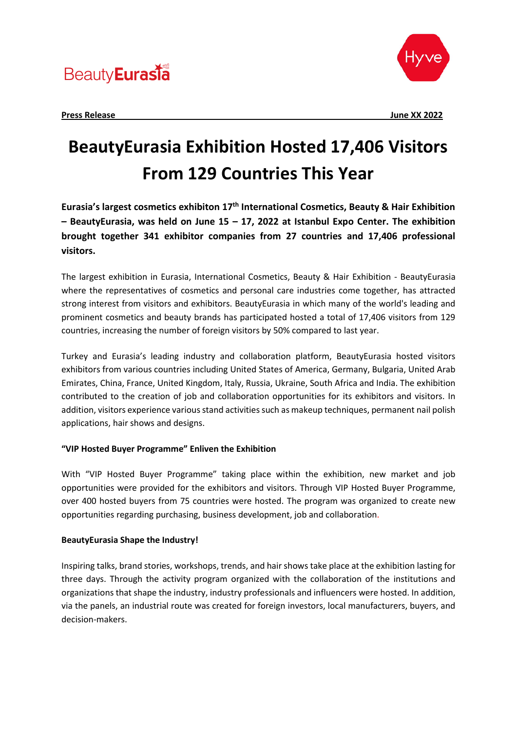## **Beauty** Eurasia



## **BeautyEurasia Exhibition Hosted 17,406 Visitors From 129 Countries This Year**

**Eurasia's largest cosmetics exhibiton 17th International Cosmetics, Beauty & Hair Exhibition – BeautyEurasia, was held on June 15 – 17, 2022 at Istanbul Expo Center. The exhibition brought together 341 exhibitor companies from 27 countries and 17,406 professional visitors.** 

The largest exhibition in Eurasia, International Cosmetics, Beauty & Hair Exhibition - BeautyEurasia where the representatives of cosmetics and personal care industries come together, has attracted strong interest from visitors and exhibitors. BeautyEurasia in which many of the world's leading and prominent cosmetics and beauty brands has participated hosted a total of 17,406 visitors from 129 countries, increasing the number of foreign visitors by 50% compared to last year.

Turkey and Eurasia's leading industry and collaboration platform, BeautyEurasia hosted visitors exhibitors from various countries including United States of America, Germany, Bulgaria, United Arab Emirates, China, France, United Kingdom, Italy, Russia, Ukraine, South Africa and India. The exhibition contributed to the creation of job and collaboration opportunities for its exhibitors and visitors. In addition, visitors experience various stand activities such as makeup techniques, permanent nail polish applications, hair shows and designs.

### **"VIP Hosted Buyer Programme" Enliven the Exhibition**

With "VIP Hosted Buyer Programme" taking place within the exhibition, new market and job opportunities were provided for the exhibitors and visitors. Through VIP Hosted Buyer Programme, over 400 hosted buyers from 75 countries were hosted. The program was organized to create new opportunities regarding purchasing, business development, job and collaboration.

### **BeautyEurasia Shape the Industry!**

Inspiring talks, brand stories, workshops, trends, and hair shows take place at the exhibition lasting for three days. Through the activity program organized with the collaboration of the institutions and organizations that shape the industry, industry professionals and influencers were hosted. In addition, via the panels, an industrial route was created for foreign investors, local manufacturers, buyers, and decision-makers.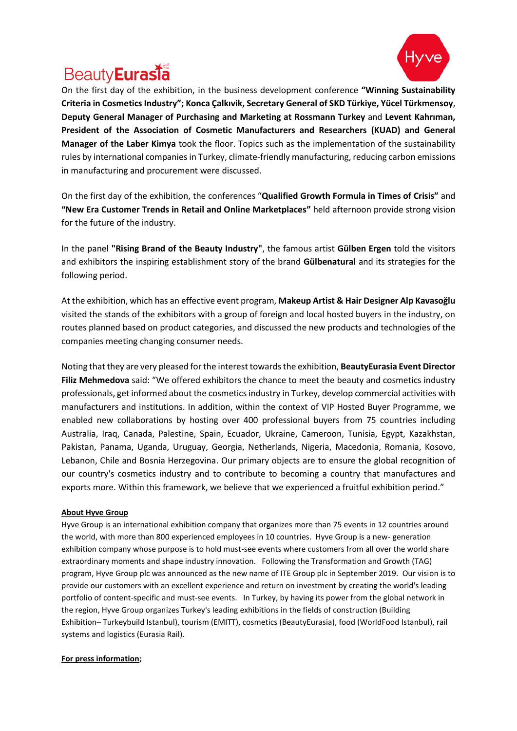

# **Beauty** Eurasia

On the first day of the exhibition, in the business development conference **"Winning Sustainability Criteria in Cosmetics Industry"; Konca Çalkıvik, Secretary General of SKD Türkiye, Yücel Türkmensoy**, **Deputy General Manager of Purchasing and Marketing at Rossmann Turkey** and **Levent Kahrıman, President of the Association of Cosmetic Manufacturers and Researchers (KUAD) and General Manager of the Laber Kimya** took the floor. Topics such as the implementation of the sustainability rules by international companies in Turkey, climate-friendly manufacturing, reducing carbon emissions in manufacturing and procurement were discussed.

On the first day of the exhibition, the conferences "**Qualified Growth Formula in Times of Crisis"** and **"New Era Customer Trends in Retail and Online Marketplaces"** held afternoon provide strong vision for the future of the industry.

In the panel **"Rising Brand of the Beauty Industry"**, the famous artist **Gülben Ergen** told the visitors and exhibitors the inspiring establishment story of the brand **Gülbenatural** and its strategies for the following period.

At the exhibition, which has an effective event program, **Makeup Artist & Hair Designer Alp Kavasoğlu** visited the stands of the exhibitors with a group of foreign and local hosted buyers in the industry, on routes planned based on product categories, and discussed the new products and technologies of the companies meeting changing consumer needs.

Noting that they are very pleased for the interest towards the exhibition, **BeautyEurasia Event Director Filiz Mehmedova** said: "We offered exhibitors the chance to meet the beauty and cosmetics industry professionals, get informed about the cosmetics industry in Turkey, develop commercial activities with manufacturers and institutions. In addition, within the context of VIP Hosted Buyer Programme, we enabled new collaborations by hosting over 400 professional buyers from 75 countries including Australia, Iraq, Canada, Palestine, Spain, Ecuador, Ukraine, Cameroon, Tunisia, Egypt, Kazakhstan, Pakistan, Panama, Uganda, Uruguay, Georgia, Netherlands, Nigeria, Macedonia, Romania, Kosovo, Lebanon, Chile and Bosnia Herzegovina. Our primary objects are to ensure the global recognition of our country's cosmetics industry and to contribute to becoming a country that manufactures and exports more. Within this framework, we believe that we experienced a fruitful exhibition period."

#### **About Hyve Group**

Hyve Group is an international exhibition company that organizes more than 75 events in 12 countries around the world, with more than 800 experienced employees in 10 countries. Hyve Group is a new- generation exhibition company whose purpose is to hold must-see events where customers from all over the world share extraordinary moments and shape industry innovation. Following the Transformation and Growth (TAG) program, Hyve Group plc was announced as the new name of ITE Group plc in September 2019. Our vision is to provide our customers with an excellent experience and return on investment by creating the world's leading portfolio of content-specific and must-see events. In Turkey, by having its power from the global network in the region, Hyve Group organizes Turkey's leading exhibitions in the fields of construction (Building Exhibition– Turkeybuild Istanbul), tourism (EMITT), cosmetics (BeautyEurasia), food (WorldFood Istanbul), rail systems and logistics (Eurasia Rail).

#### **For press information;**